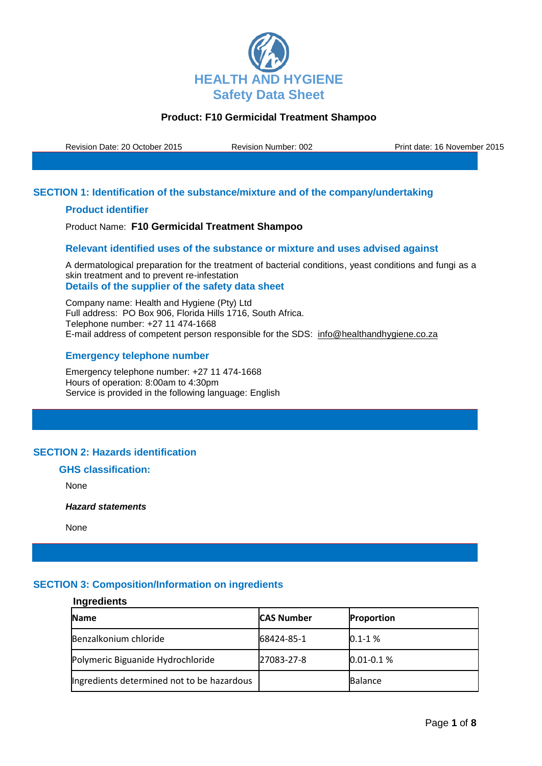

Revision Date: 20 October 2015 Revision Number: 002 Print date: 16 November 2015

### **SECTION 1: Identification of the substance/mixture and of the company/undertaking**

### **Product identifier**

Product Name: **F10 Germicidal Treatment Shampoo**

### **Relevant identified uses of the substance or mixture and uses advised against**

A dermatological preparation for the treatment of bacterial conditions, yeast conditions and fungi as a skin treatment and to prevent re-infestation **Details of the supplier of the safety data sheet**

Company name: Health and Hygiene (Pty) Ltd Full address: PO Box 906, Florida Hills 1716, South Africa. Telephone number: +27 11 474-1668 E-mail address of competent person responsible for the SDS: info@healthandhygiene.co.za

### **Emergency telephone number**

Emergency telephone number: +27 11 474-1668 Hours of operation: 8:00am to 4:30pm Service is provided in the following language: English

# **SECTION 2: Hazards identification**

# **GHS classification:**

None

*Hazard statements* 

None

## **SECTION 3: Composition/Information on ingredients**

### **Ingredients**

| <b>Name</b>                                | <b>CAS Number</b> | <b>Proportion</b> |
|--------------------------------------------|-------------------|-------------------|
| Benzalkonium chloride                      | 68424-85-1        | $0.1 - 1%$        |
| Polymeric Biguanide Hydrochloride          | 27083-27-8        | $0.01 - 0.1 %$    |
| Ingredients determined not to be hazardous |                   | <b>Balance</b>    |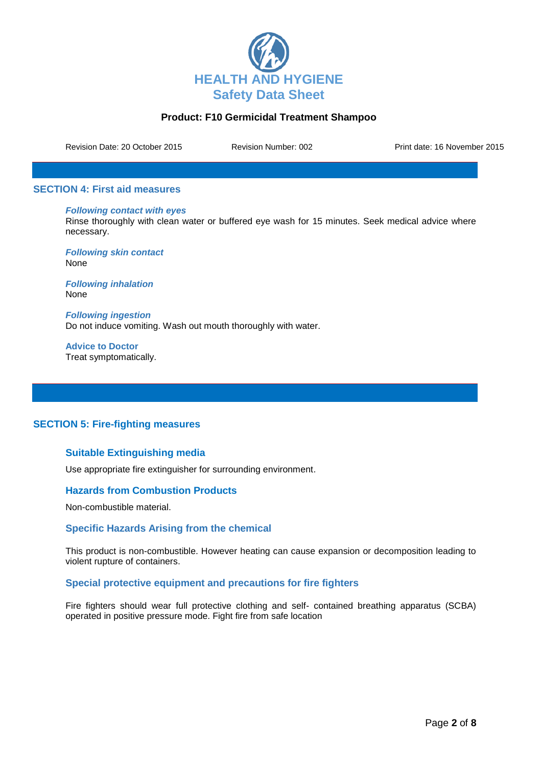

Revision Date: 20 October 2015 Revision Number: 002 Print date: 16 November 2015

### **SECTION 4: First aid measures**

#### *Following contact with eyes*

Rinse thoroughly with clean water or buffered eye wash for 15 minutes. Seek medical advice where necessary.

*Following skin contact* None

*Following inhalation* None

*Following ingestion* Do not induce vomiting. Wash out mouth thoroughly with water.

**Advice to Doctor** Treat symptomatically.

### **SECTION 5: Fire-fighting measures**

### **Suitable Extinguishing media**

Use appropriate fire extinguisher for surrounding environment.

### **Hazards from Combustion Products**

Non-combustible material.

### **Specific Hazards Arising from the chemical**

This product is non-combustible. However heating can cause expansion or decomposition leading to violent rupture of containers.

### **Special protective equipment and precautions for fire fighters**

Fire fighters should wear full protective clothing and self- contained breathing apparatus (SCBA) operated in positive pressure mode. Fight fire from safe location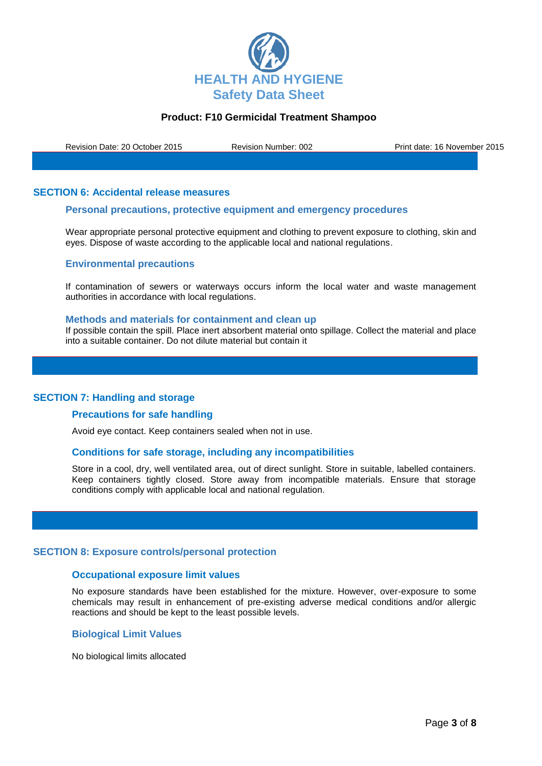

Revision Date: 20 October 2015 Revision Number: 002 Print date: 16 November 2015

### **SECTION 6: Accidental release measures**

### **Personal precautions, protective equipment and emergency procedures**

Wear appropriate personal protective equipment and clothing to prevent exposure to clothing, skin and eyes. Dispose of waste according to the applicable local and national regulations.

#### **Environmental precautions**

If contamination of sewers or waterways occurs inform the local water and waste management authorities in accordance with local regulations.

#### **Methods and materials for containment and clean up**

If possible contain the spill. Place inert absorbent material onto spillage. Collect the material and place into a suitable container. Do not dilute material but contain it

#### **SECTION 7: Handling and storage**

#### **Precautions for safe handling**

Avoid eye contact. Keep containers sealed when not in use.

#### **Conditions for safe storage, including any incompatibilities**

Store in a cool, dry, well ventilated area, out of direct sunlight. Store in suitable, labelled containers. Keep containers tightly closed. Store away from incompatible materials. Ensure that storage conditions comply with applicable local and national regulation.

#### **SECTION 8: Exposure controls/personal protection**

### **Occupational exposure limit values**

No exposure standards have been established for the mixture. However, over-exposure to some chemicals may result in enhancement of pre-existing adverse medical conditions and/or allergic reactions and should be kept to the least possible levels.

#### **Biological Limit Values**

No biological limits allocated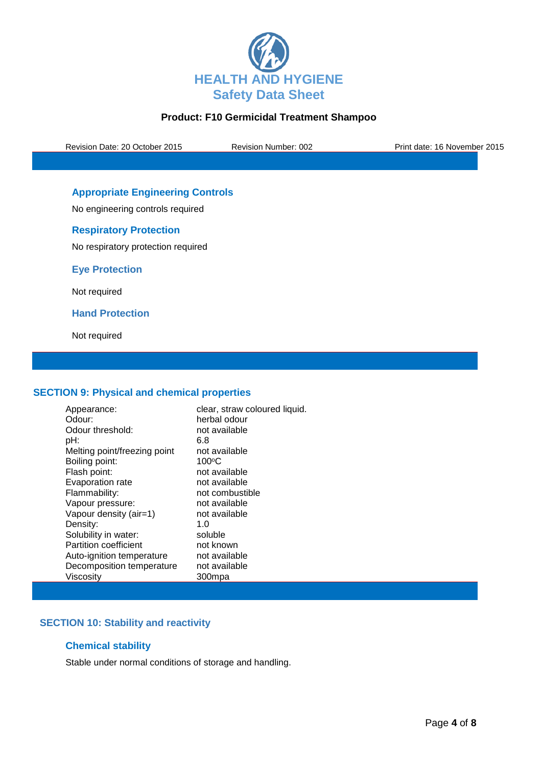

Revision Date: 20 October 2015 Revision Number: 002 Print date: 16 November 2015

# **Appropriate Engineering Controls**

No engineering controls required

## **Respiratory Protection**

No respiratory protection required

**Eye Protection**

Not required

**Hand Protection**

Not required

### **SECTION 9: Physical and chemical properties**

| Appearance:                  | clear, straw coloured liquid. |
|------------------------------|-------------------------------|
| Odour:                       | herbal odour                  |
| Odour threshold:             | not available                 |
| pH:                          | 6.8                           |
| Melting point/freezing point | not available                 |
| Boiling point:               | $100^{\circ}$ C               |
| Flash point:                 | not available                 |
| Evaporation rate             | not available                 |
| Flammability:                | not combustible               |
| Vapour pressure:             | not available                 |
| Vapour density (air=1)       | not available                 |
| Density:                     | 1.0                           |
| Solubility in water:         | soluble                       |
| <b>Partition coefficient</b> | not known                     |
| Auto-ignition temperature    | not available                 |
| Decomposition temperature    | not available                 |
| Viscosity                    | 300mpa                        |

# **SECTION 10: Stability and reactivity**

### **Chemical stability**

Stable under normal conditions of storage and handling.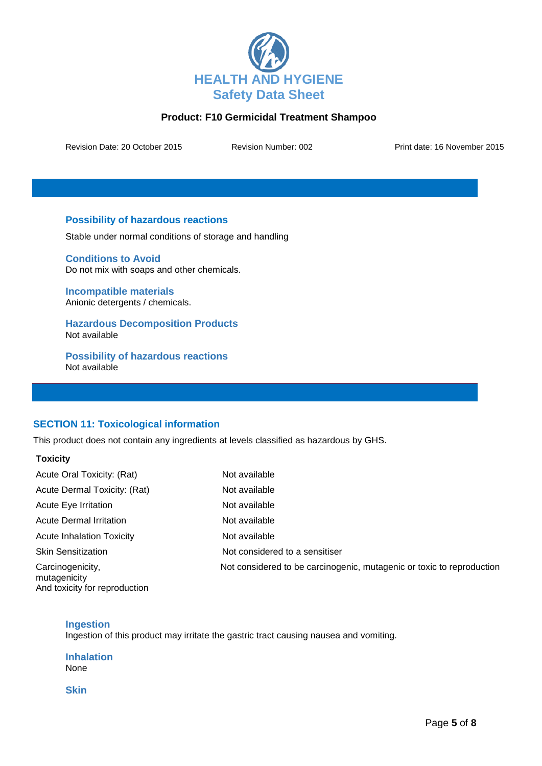

Revision Date: 20 October 2015 Revision Number: 002 Print date: 16 November 2015

## **Possibility of hazardous reactions**

Stable under normal conditions of storage and handling

**Conditions to Avoid** Do not mix with soaps and other chemicals.

**Incompatible materials** Anionic detergents / chemicals.

**Hazardous Decomposition Products** Not available

**Possibility of hazardous reactions** Not available

## **SECTION 11: Toxicological information**

This product does not contain any ingredients at levels classified as hazardous by GHS.

### **Toxicity**

| Acute Oral Toxicity: (Rat)                                        | Not available                                                         |
|-------------------------------------------------------------------|-----------------------------------------------------------------------|
| Acute Dermal Toxicity: (Rat)                                      | Not available                                                         |
| Acute Eye Irritation                                              | Not available                                                         |
| <b>Acute Dermal Irritation</b>                                    | Not available                                                         |
| <b>Acute Inhalation Toxicity</b>                                  | Not available                                                         |
| <b>Skin Sensitization</b>                                         | Not considered to a sensitiser                                        |
| Carcinogenicity,<br>mutagenicity<br>And toxicity for reproduction | Not considered to be carcinogenic, mutagenic or toxic to reproduction |

### **Ingestion**

Ingestion of this product may irritate the gastric tract causing nausea and vomiting.

**Inhalation** None

**Skin**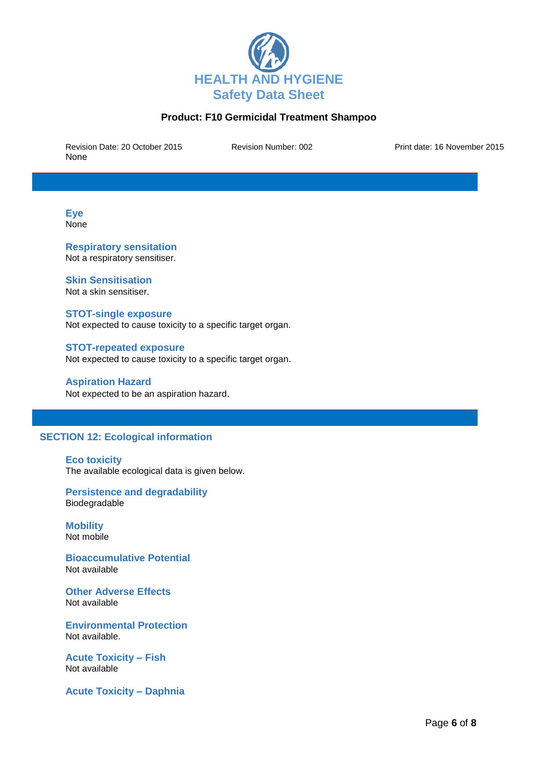

Revision Date: 20 October 2015 Revision Number: 002 Print date: 16 November 2015 None

**Eye None** 

**Respiratory sensitation** Not a respiratory sensitiser.

### **Skin Sensitisation**

Not a skin sensitiser.

#### **STOT-single exposure**

Not expected to cause toxicity to a specific target organ.

# **STOT-repeated exposure**

Not expected to cause toxicity to a specific target organ.

#### **Aspiration Hazard**

Not expected to be an aspiration hazard.

## **SECTION 12: Ecological information**

#### **Eco toxicity**

The available ecological data is given below.

### **Persistence and degradability** Biodegradable

**Mobility** Not mobile

**Bioaccumulative Potential** Not available

**Other Adverse Effects** Not available

**Environmental Protection** Not available.

**Acute Toxicity – Fish** Not available

**Acute Toxicity – Daphnia**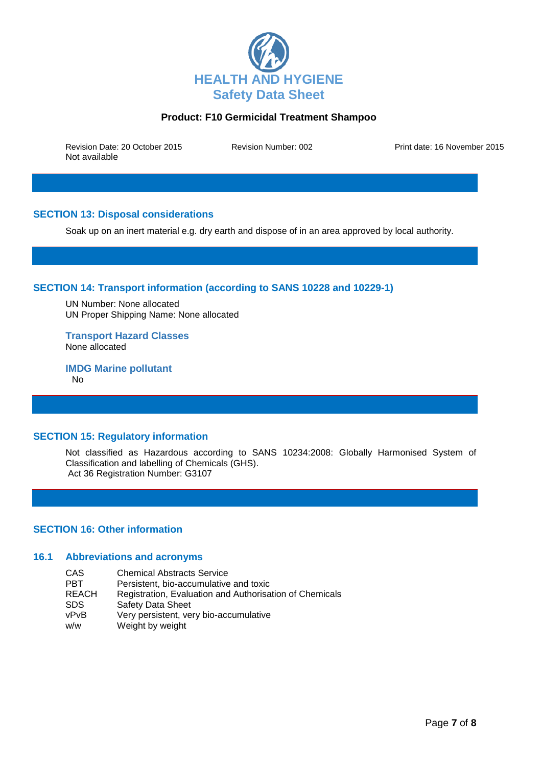

Revision Date: 20 October 2015 Revision Number: 002 Print date: 16 November 2015 Not available

## **SECTION 13: Disposal considerations**

Soak up on an inert material e.g. dry earth and dispose of in an area approved by local authority.

## **SECTION 14: Transport information (according to SANS 10228 and 10229-1)**

UN Number: None allocated UN Proper Shipping Name: None allocated

**Transport Hazard Classes** None allocated

**IMDG Marine pollutant** No

### **SECTION 15: Regulatory information**

Not classified as Hazardous according to SANS 10234:2008: Globally Harmonised System of Classification and labelling of Chemicals (GHS). Act 36 Registration Number: G3107

#### **SECTION 16: Other information**

#### **16.1 Abbreviations and acronyms**

| CAS.         | <b>Chemical Abstracts Service</b>                       |
|--------------|---------------------------------------------------------|
| PBT          | Persistent, bio-accumulative and toxic                  |
| <b>REACH</b> | Registration, Evaluation and Authorisation of Chemicals |
| SDS.         | <b>Safety Data Sheet</b>                                |
| vPvB         | Very persistent, very bio-accumulative                  |
| w/w          | Weight by weight                                        |